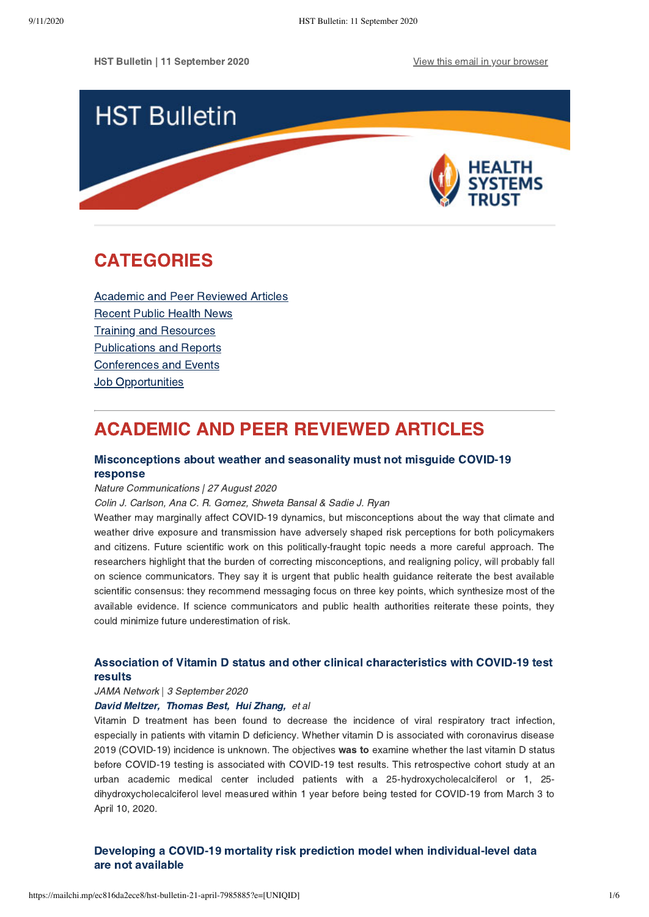HST Bulletin | 11 September 2020 [View this email in your browser](https://mailchi.mp/ec816da2ece8/hst-bulletin-21-april-7985885?e=[UNIQID])



# <span id="page-0-1"></span>CATEGORIES

[Academic and Peer Reviewed Articles](#page-0-0) [Recent Public Health News](#page-1-0) Training and Resources [Publications and Reports](#page-2-0) [Conferences and Events](#page-4-0) **Job Opportunities** 

# <span id="page-0-0"></span>ACADEMIC AND PEER REVIEWED ARTICLES

## [Misconceptions about weather and seasonality must not misguide COVID-19](https://www.nature.com/articles/s41467-020-18150-z) response

#### Nature Communications | 27 August 2020

#### Colin J. Carlson, Ana C. R. Gomez, Shweta Bansal & Sadie J. Ryan

Weather may marginally affect COVID-19 dynamics, but misconceptions about the way that climate and weather drive exposure and transmission have adversely shaped risk perceptions for both policymakers and citizens. Future scientific work on this politically-fraught topic needs a more careful approach. The researchers highlight that the burden of correcting misconceptions, and realigning policy, will probably fall on science communicators. They say it is urgent that public health guidance reiterate the best available scientific consensus: they recommend messaging focus on three key points, which synthesize most of the available evidence. If science communicators and public health authorities reiterate these points, they could minimize future underestimation of risk.

## [Association of Vitamin D status and other clinical characteristics with COVID-19 test](https://jamanetwork.com/journals/jamanetworkopen/fullarticle/2770157) results

## JAMA Network | 3 September 2020

#### [David Meltzer,](https://jamanetwork.com/searchresults?author=David+O.+Meltzer&q=David+O.+Meltzer) [Thomas Best,](https://jamanetwork.com/searchresults?author=Thomas+J.+Best&q=Thomas+J.+Best) [Hui Zhang,](https://jamanetwork.com/searchresults?author=Hui+Zhang&q=Hui+Zhang) et al

Vitamin D treatment has been found to decrease the incidence of viral respiratory tract infection, especially in patients with vitamin D deficiency. Whether vitamin D is associated with coronavirus disease 2019 (COVID-19) incidence is unknown. The objectives was to examine whether the last vitamin D status before COVID-19 testing is associated with COVID-19 test results. This retrospective cohort study at an urban academic medical center included patients with a 25-hydroxycholecalciferol or 1, 25 dihydroxycholecalciferol level measured within 1 year before being tested for COVID-19 from March 3 to April 10, 2020.

## [Developing a COVID-19 mortality risk prediction model when individual-level data](https://www.nature.com/articles/s41467-020-18297-9) are not available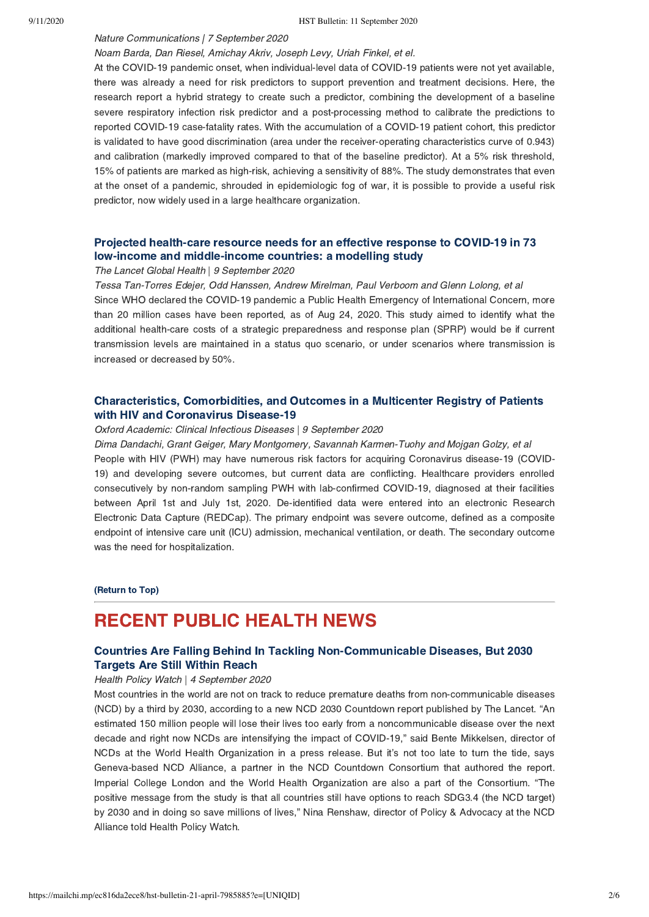#### Nature Communications | 7 September 2020

#### Noam Barda, Dan Riesel, Amichay Akriv, Joseph Levy, Uriah Finkel, et el.

At the COVID-19 pandemic onset, when individual-level data of COVID-19 patients were not yet available, there was already a need for risk predictors to support prevention and treatment decisions. Here, the research report a hybrid strategy to create such a predictor, combining the development of a baseline severe respiratory infection risk predictor and a post-processing method to calibrate the predictions to reported COVID-19 case-fatality rates. With the accumulation of a COVID-19 patient cohort, this predictor is validated to have good discrimination (area under the receiver-operating characteristics curve of 0.943) and calibration (markedly improved compared to that of the baseline predictor). At a 5% risk threshold, 15% of patients are marked as high-risk, achieving a sensitivity of 88%. The study demonstrates that even at the onset of a pandemic, shrouded in epidemiologic fog of war, it is possible to provide a useful risk predictor, now widely used in a large healthcare organization.

## [Projected health-care resource needs for an effective response to COVID-19 in 73](https://www.thelancet.com/journals/langlo/article/PIIS2214-109X(20)30383-1/fulltext) low-income and middle-income countries: a modelling study

#### The Lancet Global Health | 9 September 2020

Tessa Tan-Torres Edejer, Odd Hanssen, Andrew Mirelman, Paul Verboom and Glenn Lolong, et al Since WHO declared the COVID-19 pandemic a Public Health Emergency of International Concern, more than 20 million cases have been reported, as of Aug 24, 2020. This study aimed to identify what the additional health-care costs of a strategic preparedness and response plan (SPRP) would be if current transmission levels are maintained in a status quo scenario, or under scenarios where transmission is increased or decreased by 50%.

## [Characteristics, Comorbidities, and Outcomes in a Multicenter Registry of Patients](https://academic.oup.com/cid/advance-article/doi/10.1093/cid/ciaa1339/5903368) with HIV and Coronavirus Disease-19

#### Oxford Academic: Clinical Infectious Diseases | 9 September 2020

Dima Dandachi, Grant Geiger, Mary Montgomery, Savannah Karmen-Tuohy and Mojgan Golzy, et al People with HIV (PWH) may have numerous risk factors for acquiring Coronavirus disease-19 (COVID-19) and developing severe outcomes, but current data are conflicting. Healthcare providers enrolled consecutively by non-random sampling PWH with lab-confirmed COVID-19, diagnosed at their facilities between April 1st and July 1st, 2020. De-identified data were entered into an electronic Research Electronic Data Capture (REDCap). The primary endpoint was severe outcome, defined as a composite endpoint of intensive care unit (ICU) admission, mechanical ventilation, or death. The secondary outcome was the need for hospitalization.

#### [\(Return to Top\)](#page-0-1)

## <span id="page-1-0"></span>RECENT PUBLIC HEALTH NEWS

### [Countries Are Falling Behind In Tackling Non-Communicable Diseases, But 2030](https://healthpolicy-watch.news/countries-are-falling-behind-in-tackling-non-communicable-diseases/) Targets Are Still Within Reach

#### Health Policy Watch | 4 September 2020

Most countries in the world are not on track to reduce premature deaths from non-communicable diseases (NCD) by a third by 2030, according to a new NCD 2030 Countdown report published by The Lancet. "An estimated 150 million people will lose their lives too early from a noncommunicable disease over the next decade and right now NCDs are intensifying the impact of COVID-19," said Bente Mikkelsen, director of NCDs at the World Health Organization in a press release. But it's not too late to turn the tide, says Geneva-based NCD Alliance, a partner in the NCD Countdown Consortium that authored the report. Imperial College London and the World Health Organization are also a part of the Consortium. "The positive message from the study is that all countries still have options to reach SDG3.4 (the NCD target) by 2030 and in doing so save millions of lives," Nina Renshaw, director of Policy & Advocacy at the NCD Alliance told Health Policy Watch.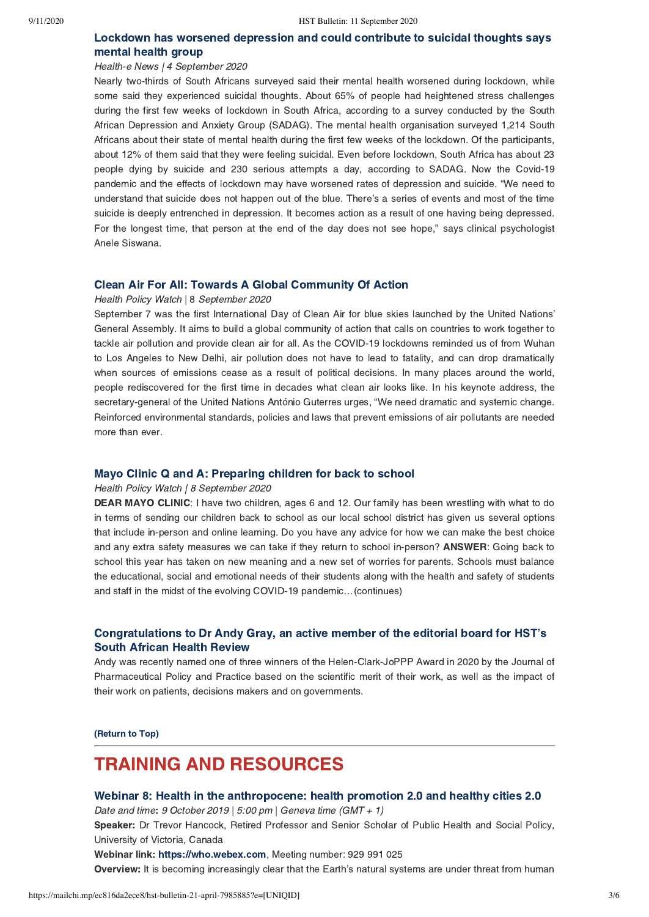### [Lockdown has worsened depression and could contribute to suicidal thoughts says](https://health-e.org.za/2020/09/04/lockdown-has-worsened-depression-and-could-contribute-to-suicidal-thoughts-says-mental-health-group/) mental health group

#### Health-e News | 4 September 2020

Nearly two-thirds of South Africans surveyed said their mental health worsened during lockdown, while some said they experienced suicidal thoughts. About 65% of people had heightened stress challenges during the first few weeks of lockdown in South Africa, according to a survey conducted by the South African Depression and Anxiety Group (SADAG). The mental health organisation surveyed 1,214 South Africans about their state of mental health during the first few weeks of the lockdown. Of the participants, about 12% of them said that they were feeling suicidal. Even before lockdown, South Africa has about 23 people dying by suicide and 230 serious attempts a day, according to SADAG. Now the Covid-19 pandemic and the effects of lockdown may have worsened rates of depression and suicide. "We need to understand that suicide does not happen out of the blue. There's a series of events and most of the time suicide is deeply entrenched in depression. It becomes action as a result of one having being depressed. For the longest time, that person at the end of the day does not see hope," says clinical psychologist Anele Siswana.

#### [Clean Air For All: Towards A Global Community Of Action](https://healthpolicy-watch.news/clean-air-for-all-towards-a-global-community-of-action/)

#### Health Policy Watch | 8 September 2020

September 7 was the first International Day of Clean Air for blue skies launched by the United Nations' General Assembly. It aims to build a global community of action that calls on countries to work together to tackle air pollution and provide clean air for all. As the COVID-19 lockdowns reminded us of from Wuhan to Los Angeles to New Delhi, air pollution does not have to lead to fatality, and can drop dramatically when sources of emissions cease as a result of political decisions. In many places around the world, people rediscovered for the first time in decades what clean air looks like. In his keynote address, the secretary-general of the United Nations António Guterres urges, "We need dramatic and systemic change. Reinforced environmental standards, policies and laws that prevent emissions of air pollutants are needed more than ever.

#### [Mayo Clinic Q and A: Preparing children for back to school](https://newsnetwork.mayoclinic.org/discussion/mayo-clinic-q-and-a-preparing-children-for-back-to-school/)

#### Health Policy Watch | 8 September 2020

DEAR MAYO CLINIC: I have two children, ages 6 and 12. Our family has been wrestling with what to do in terms of sending our children back to school as our local school district has given us several options that include in-person and online learning. Do you have any advice for how we can make the best choice and any extra safety measures we can take if they return to school in-person? **ANSWER**: Going back to school this year has taken on new meaning and a new set of worries for parents. Schools must balance the educational, social and emotional needs of their students along with the health and safety of students and staff in the midst of the evolving COVID-19 pandemic…(continues)

### [Congratulations to Dr Andy Gray, an active member of the editorial board for HST's](https://joppp.biomedcentral.com/joppp-award-winners-2020) South African Health Review

Andy was recently named one of three winners of the Helen-Clark-JoPPP Award in 2020 by the Journal of Pharmaceutical Policy and Practice based on the scientific merit of their work, as well as the impact of their work on patients, decisions makers and on governments.

[\(Return to Top\)](#page-0-1)

## <span id="page-2-0"></span>TRAINING AND RESOURCES

#### [Webinar 8: Health in the anthropocene: health promotion 2.0 and healthy cities 2.0](https://www.who.int/healthpromotion/webinar-series-8-health-in-anthropocene/en/)

Date and time: 9 October 2019 | 5:00 pm | Geneva time (GMT + 1)

Speaker: Dr Trevor Hancock, Retired Professor and Senior Scholar of Public Health and Social Policy, University of Victoria, Canada

Webinar link: [https://who.webex.com,](https://who.webex.com/) Meeting number: 929 991 025

Overview: It is becoming increasingly clear that the Earth's natural systems are under threat from human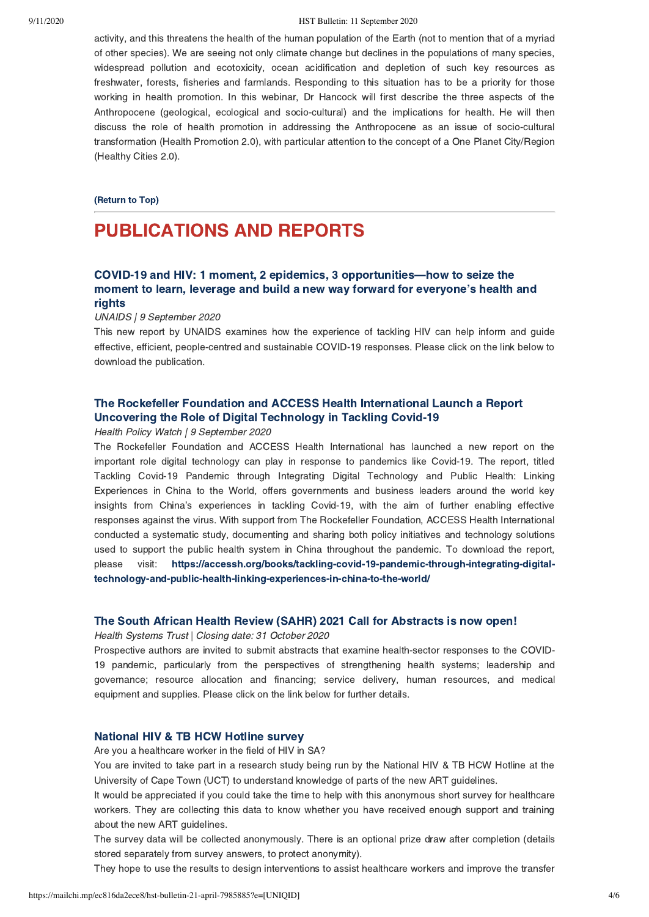#### 9/11/2020 HST Bulletin: 11 September 2020

activity, and this threatens the health of the human population of the Earth (not to mention that of a myriad of other species). We are seeing not only climate change but declines in the populations of many species, widespread pollution and ecotoxicity, ocean acidification and depletion of such key resources as freshwater, forests, fisheries and farmlands. Responding to this situation has to be a priority for those working in health promotion. In this webinar, Dr Hancock will first describe the three aspects of the Anthropocene (geological, ecological and socio-cultural) and the implications for health. He will then discuss the role of health promotion in addressing the Anthropocene as an issue of socio-cultural transformation (Health Promotion 2.0), with particular attention to the concept of a One Planet City/Region (Healthy Cities 2.0).

#### [\(Return to Top\)](#page-0-1)

## PUBLICATIONS AND REPORTS

## COVID-19 and HIV: 1 moment, 2 epidemics, 3 opportunities—how to seize the [moment to learn, leverage and build a new way forward for everyone's health and](https://www.unaids.org/en/resources/documents/2020/20200909_lessons_hiv_covid) rights

#### UNAIDS | 9 September 2020

This new report by UNAIDS examines how the experience of tackling HIV can help inform and guide effective, efficient, people-centred and sustainable COVID-19 responses. Please click on the link below to download the publication.

## [The Rockefeller Foundation and ACCESS Health International Launch a Report](https://accessh.org/books/tackling-covid-19-pandemic-through-integrating-digital-technology-and-public-health-linking-experiences-in-china-to-the-world/) Uncovering the Role of Digital Technology in Tackling Covid-19

#### Health Policy Watch | 9 September 2020

The Rockefeller Foundation and ACCESS Health International has launched a new report on the important role digital technology can play in response to pandemics like Covid-19. The report, titled Tackling Covid-19 Pandemic through Integrating Digital Technology and Public Health: Linking Experiences in China to the World, offers governments and business leaders around the world key insights from China's experiences in tackling Covid-19, with the aim of further enabling effective responses against the virus. With support from The Rockefeller Foundation, ACCESS Health International conducted a systematic study, documenting and sharing both policy initiatives and technology solutions used to support the public health system in China throughout the pandemic. To download the report, [please visit: https://accessh.org/books/tackling-covid-19-pandemic-through-integrating-digital](https://accessh.org/books/tackling-covid-19-pandemic-through-integrating-digital-technology-and-public-health-linking-experiences-in-china-to-the-world/)technology-and-public-health-linking-experiences-in-china-to-the-world/

#### [The South African Health Review \(SAHR\) 2021 Call for Abstracts is now open!](https://www.hst.org.za/media/Pages/SAHR-2021-Call-for-Abstracts.aspx)

Health Systems Trust | Closing date: 31 October 2020

Prospective authors are invited to submit abstracts that examine health-sector responses to the COVID-19 pandemic, particularly from the perspectives of strengthening health systems; leadership and governance; resource allocation and financing; service delivery, human resources, and medical equipment and supplies. Please click on the link below for further details.

#### [National HIV & TB HCW Hotline survey](https://tinyurl.com/y3csemo9)

Are you a healthcare worker in the field of HIV in SA?

You are invited to take part in a research study being run by the National HIV & TB HCW Hotline at the University of Cape Town (UCT) to understand knowledge of parts of the new ART guidelines.

It would be appreciated if you could take the time to help with this anonymous short survey for healthcare workers. They are collecting this data to know whether you have received enough support and training about the new ART guidelines.

The survey data will be collected anonymously. There is an optional prize draw after completion (details stored separately from survey answers, to protect anonymity).

They hope to use the results to design interventions to assist healthcare workers and improve the transfer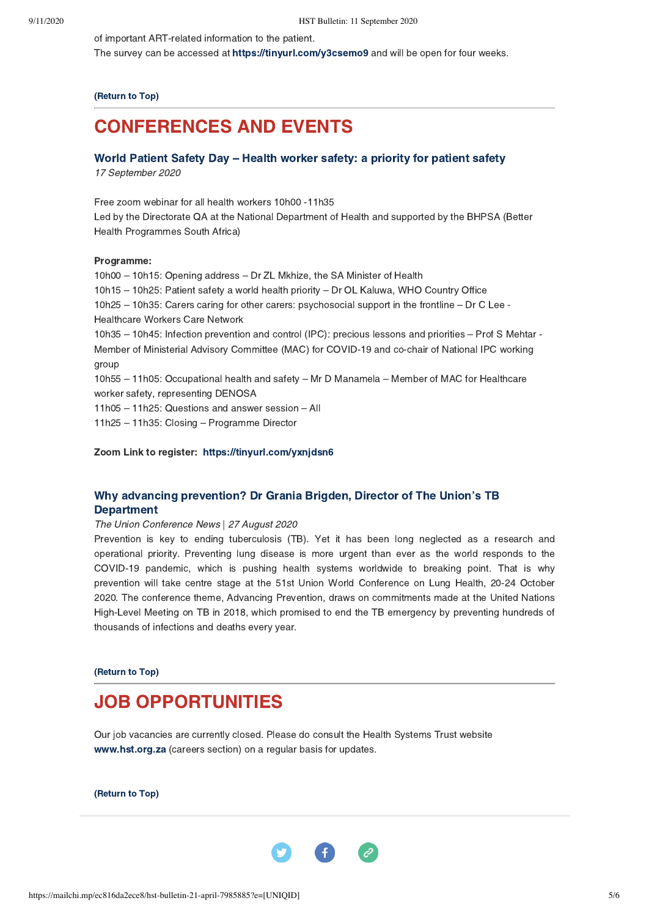of important ART-related information to the patient.

The survey can be accessed at [https://tinyurl.com/y3csemo9](https://protect-za.mimecast.com/s/QbGgCKOG8VuLAmDSMSPho?domain=tinyurl.com) and will be open for four weeks.

[\(Return to Top\)](#page-0-1)

## <span id="page-4-0"></span>CONFERENCES AND EVENTS

### World Patient Safety Day – [Health worker safety: a priority for patient safety](https://tinyurl.com/yxnjdsn6)

17 September 2020

Free zoom webinar for all health workers 10h00 -11h35 Led by the Directorate QA at the National Department of Health and supported by the BHPSA (Better Health Programmes South Africa)

#### Programme:

10h00 – 10h15: Opening address – Dr ZL Mkhize, the SA Minister of Health 10h15 – 10h25: Patient safety a world health priority – Dr OL Kaluwa, WHO Country Office 10h25 – 10h35: Carers caring for other carers: psychosocial support in the frontline – Dr C Lee - Healthcare Workers Care Network 10h35 – 10h45: Infection prevention and control (IPC): precious lessons and priorities – Prof S Mehtar - Member of Ministerial Advisory Committee (MAC) for COVID-19 and co-chair of National IPC working group 10h55 – 11h05: Occupational health and safety – Mr D Manamela – Member of MAC for Healthcare worker safety, representing DENOSA 11h05 – 11h25: Questions and answer session – All 11h25 – 11h35: Closing – Programme Director

Zoom Link to register:  [https://tinyurl.com/yxnjdsn6](https://protect-za.mimecast.com/s/hRG-Cj2BY9Ikp4JHRvWIU?domain=tinyurl.com)

### [Why advancing prevention? Dr Grania Brigden, Director of The Union's TB](https://conf2020.theunion.org/2020/08/why-advancing-prevention-dr-grania-brigden-director-of-tb/) Department

#### The Union Conference News | 27 August 2020

Prevention is key to ending tuberculosis (TB). Yet it has been long neglected as a research and operational priority. Preventing lung disease is more urgent than ever as the world responds to the COVID-19 pandemic, which is pushing health systems worldwide to breaking point. That is why prevention will take centre stage at the 51st Union World Conference on Lung Health, 20-24 October 2020. The conference theme, Advancing Prevention, draws on commitments made at the United Nations High-Level Meeting on TB in 2018, which promised to end the TB emergency by preventing hundreds of thousands of infections and deaths every year.

[\(Return to Top\)](#page-0-1)

## JOB OPPORTUNITIES

Our job vacancies are currently closed. Please do consult the Health Systems Trust website [www.hst.org.za](http://www.hst.org.za/) (careers section) on a regular basis for updates.

[\(Return to Top\)](#page-0-1)